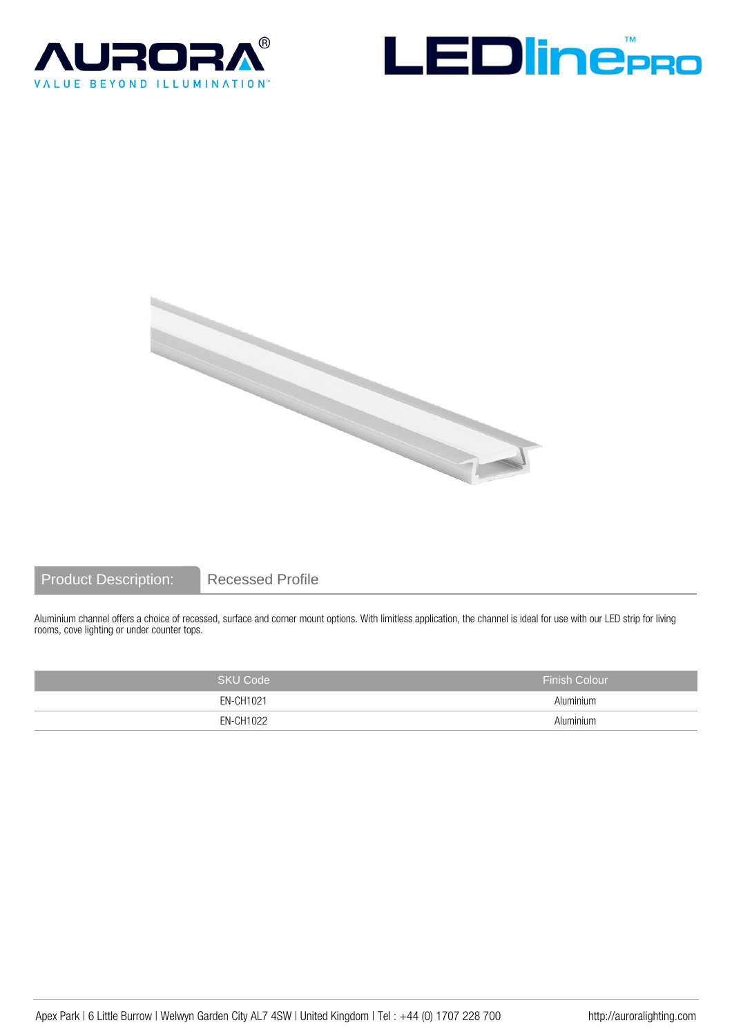





## Product Description: Recessed Profile

Aluminium channel offers a choice of recessed, surface and corner mount options. With limitless application, the channel is ideal for use with our LED strip for living rooms, cove lighting or under counter tops.

| <b>SKU Code</b> | <b>Finish Colour</b> |
|-----------------|----------------------|
| EN-CH1021       | Aluminium            |
| EN-CH1022       | Aluminium            |